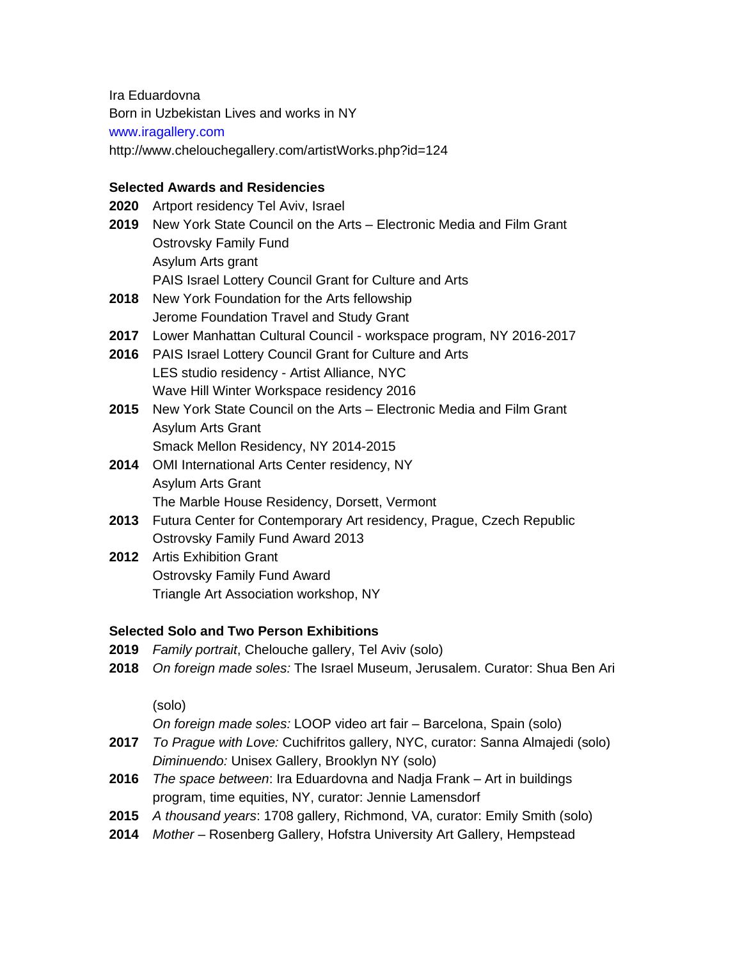Ira Eduardovna

Born in Uzbekistan Lives and works in NY

#### www.iragallery.com

http://www.chelouchegallery.com/artistWorks.php?id=124

## **Selected Awards and Residencies**

- **2020** Artport residency Tel Aviv, Israel
- **2019** New York State Council on the Arts Electronic Media and Film Grant Ostrovsky Family Fund Asylum Arts grant PAIS Israel Lottery Council Grant for Culture and Arts
- **2018** New York Foundation for the Arts fellowship Jerome Foundation Travel and Study Grant
- **2017** Lower Manhattan Cultural Council workspace program, NY 2016-2017
- **2016** PAIS Israel Lottery Council Grant for Culture and Arts LES studio residency - Artist Alliance, NYC Wave Hill Winter Workspace residency 2016
- **2015** New York State Council on the Arts Electronic Media and Film Grant Asylum Arts Grant Smack Mellon Residency, NY 2014-2015
- **2014** OMI International Arts Center residency, NY Asylum Arts Grant The Marble House Residency, Dorsett, Vermont
- **2013** Futura Center for Contemporary Art residency, Prague, Czech Republic Ostrovsky Family Fund Award 2013
- **2012** Artis Exhibition Grant Ostrovsky Family Fund Award Triangle Art Association workshop, NY

### **Selected Solo and Two Person Exhibitions**

- **2019** *Family portrait*, Chelouche gallery, Tel Aviv (solo)
- **2018** *On foreign made soles:* The Israel Museum, Jerusalem. Curator: Shua Ben Ari

(solo)

*On foreign made soles:* LOOP video art fair – Barcelona, Spain (solo)

- **2017** *To Prague with Love:* Cuchifritos gallery, NYC, curator: Sanna Almajedi (solo) *Diminuendo:* Unisex Gallery, Brooklyn NY (solo)
- **2016** *The space between*: Ira Eduardovna and Nadja Frank Art in buildings program, time equities, NY, curator: Jennie Lamensdorf
- **2015** *A thousand years*: 1708 gallery, Richmond, VA, curator: Emily Smith (solo)
- **2014** *Mother –* Rosenberg Gallery, Hofstra University Art Gallery, Hempstead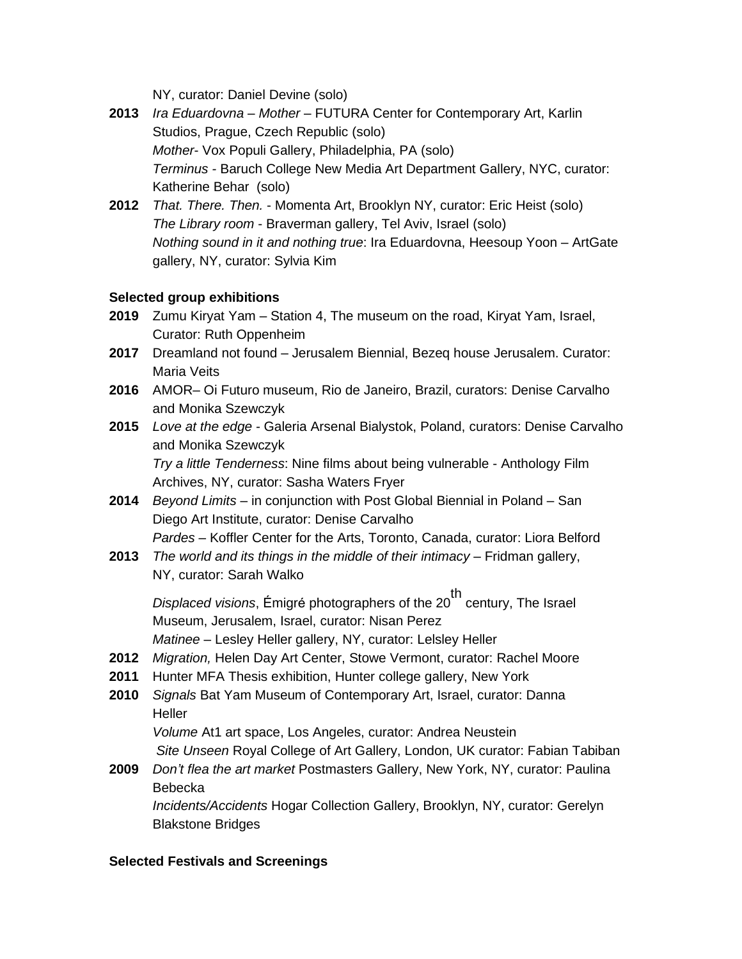NY, curator: Daniel Devine (solo)

- **2013** *Ira Eduardovna – Mother* FUTURA Center for Contemporary Art, Karlin Studios, Prague, Czech Republic (solo) *Mother*- Vox Populi Gallery, Philadelphia, PA (solo) *Terminus -* Baruch College New Media Art Department Gallery, NYC, curator: Katherine Behar (solo)
- **2012** *That. There. Then.* Momenta Art, Brooklyn NY, curator: Eric Heist (solo) *The Library room* - Braverman gallery, Tel Aviv, Israel (solo) *Nothing sound in it and nothing true*: Ira Eduardovna, Heesoup Yoon – ArtGate gallery, NY, curator: Sylvia Kim

## **Selected group exhibitions**

- **2019** Zumu Kiryat Yam Station 4, The museum on the road, Kiryat Yam, Israel, Curator: Ruth Oppenheim
- **2017** Dreamland not found Jerusalem Biennial, Bezeq house Jerusalem. Curator: Maria Veits
- **2016** AMOR– Oi Futuro museum, Rio de Janeiro, Brazil, curators: Denise Carvalho and Monika Szewczyk
- **2015** *Love at the edge -* Galeria Arsenal Bialystok, Poland, curators: Denise Carvalho and Monika Szewczyk *Try a little Tenderness*: Nine films about being vulnerable - Anthology Film

Archives, NY, curator: Sasha Waters Fryer

**2014** *Beyond Limits* – in conjunction with Post Global Biennial in Poland – San Diego Art Institute, curator: Denise Carvalho

*Pardes* – Koffler Center for the Arts, Toronto, Canada, curator: Liora Belford

**2013** *The world and its things in the middle of their intimacy* – Fridman gallery, NY, curator: Sarah Walko

*Displaced visions*, Émigré photographers of the 20 th century, The Israel Museum, Jerusalem, Israel, curator: Nisan Perez *Matinee* – Lesley Heller gallery, NY, curator: Lelsley Heller

- **2012** *Migration,* Helen Day Art Center, Stowe Vermont, curator: Rachel Moore
- **2011** Hunter MFA Thesis exhibition, Hunter college gallery, New York
- **2010** *Signals* Bat Yam Museum of Contemporary Art, Israel, curator: Danna **Heller**

*Volume* At1 art space, Los Angeles, curator: Andrea Neustein *Site Unseen* Royal College of Art Gallery, London, UK curator: Fabian Tabiban

**2009** *Don't flea the art market* Postmasters Gallery, New York, NY, curator: Paulina Bebecka

*Incidents/Accidents* Hogar Collection Gallery, Brooklyn, NY, curator: Gerelyn Blakstone Bridges

### **Selected Festivals and Screenings**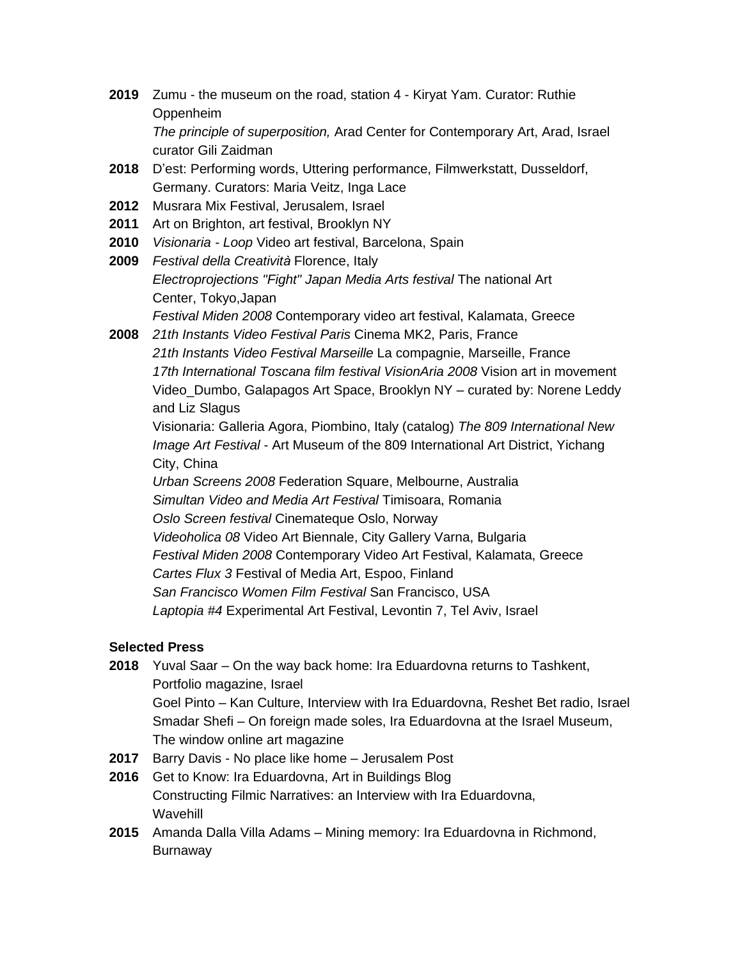- **2019** Zumu the museum on the road, station 4 Kiryat Yam. Curator: Ruthie Oppenheim *The principle of superposition,* Arad Center for Contemporary Art, Arad, Israel curator Gili Zaidman
- **2018** D'est: Performing words, Uttering performance, Filmwerkstatt, Dusseldorf, Germany. Curators: Maria Veitz, Inga Lace
- **2012** Musrara Mix Festival, Jerusalem, Israel
- **2011** Art on Brighton, art festival, Brooklyn NY
- **2010** *Visionaria - Loop* Video art festival, Barcelona, Spain
- **2009** *Festival della Creatività* Florence, Italy *Electroprojections "Fight" Japan Media Arts festival* The national Art Center, Tokyo,Japan *Festival Miden 2008* Contemporary video art festival, Kalamata, Greece
- **2008** *21th Instants Video Festival Paris* Cinema MK2, Paris, France *21th Instants Video Festival Marseille* La compagnie, Marseille, France *17th International Toscana film festival VisionAria 2008* Vision art in movement Video\_Dumbo, Galapagos Art Space, Brooklyn NY – curated by: Norene Leddy and Liz Slagus

Visionaria: Galleria Agora, Piombino, Italy (catalog) *The 809 International New Image Art Festival* - Art Museum of the 809 International Art District, Yichang City, China

*Urban Screens 2008* Federation Square, Melbourne, Australia *Simultan Video and Media Art Festival* Timisoara, Romania *Oslo Screen festival* Cinemateque Oslo, Norway *Videoholica 08* Video Art Biennale, City Gallery Varna, Bulgaria *Festival Miden 2008* Contemporary Video Art Festival, Kalamata, Greece *Cartes Flux 3* Festival of Media Art, Espoo, Finland *San Francisco Women Film Festival* San Francisco, USA *Laptopia #4* Experimental Art Festival, Levontin 7, Tel Aviv, Israel

# **Selected Press**

- **2018** Yuval Saar On the way back home: Ira Eduardovna returns to Tashkent, Portfolio magazine, Israel Goel Pinto – Kan Culture, Interview with Ira Eduardovna, Reshet Bet radio, Israel Smadar Shefi – On foreign made soles, Ira Eduardovna at the Israel Museum, The window online art magazine
- **2017** Barry Davis No place like home Jerusalem Post
- **2016** Get to Know: Ira Eduardovna, Art in Buildings Blog Constructing Filmic Narratives: an Interview with Ira Eduardovna, Wavehill
- **2015** Amanda Dalla Villa Adams Mining memory: Ira Eduardovna in Richmond, Burnaway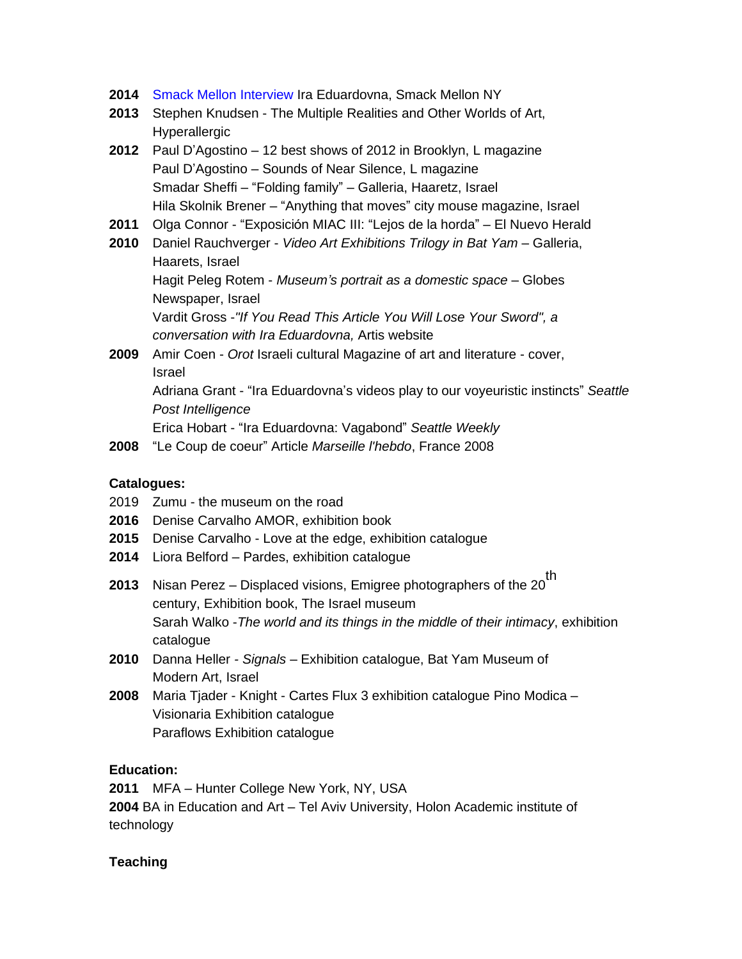- **2014** Smack Mellon Interview Ira Eduardovna, Smack Mellon NY
- **2013** Stephen Knudsen The Multiple Realities and Other Worlds of Art, Hyperallergic
- **2012** Paul D'Agostino 12 best shows of 2012 in Brooklyn, L magazine Paul D'Agostino – Sounds of Near Silence, L magazine Smadar Sheffi – "Folding family" – Galleria, Haaretz, Israel Hila Skolnik Brener – "Anything that moves" city mouse magazine, Israel
- **2011** Olga Connor "Exposición MIAC III: "Lejos de la horda" El Nuevo Herald
- **2010** Daniel Rauchverger *Video Art Exhibitions Trilogy in Bat Yam* Galleria, Haarets, Israel

Hagit Peleg Rotem - *Museum's portrait as a domestic space* – Globes Newspaper, Israel

Vardit Gross -*"If You Read This Article You Will Lose Your Sword", a conversation with Ira Eduardovna,* Artis website

- **2009** Amir Coen *Orot* Israeli cultural Magazine of art and literature cover, Israel Adriana Grant - "Ira Eduardovna's videos play to our voyeuristic instincts" *Seattle Post Intelligence* Erica Hobart - "Ira Eduardovna: Vagabond" *Seattle Weekly*
- **2008** "Le Coup de coeur" Article *Marseille l'hebdo*, France 2008

#### **Catalogues:**

- 2019 Zumu the museum on the road
- **2016** Denise Carvalho AMOR, exhibition book
- **2015** Denise Carvalho Love at the edge, exhibition catalogue
- **2014** Liora Belford Pardes, exhibition catalogue
- **2013** Nisan Perez Displaced visions, Emigree photographers of the 20 th century, Exhibition book, The Israel museum Sarah Walko -*The world and its things in the middle of their intimacy*, exhibition catalogue
- **2010** Danna Heller *- Signals* Exhibition catalogue, Bat Yam Museum of Modern Art, Israel
- **2008** Maria Tjader Knight Cartes Flux 3 exhibition catalogue Pino Modica Visionaria Exhibition catalogue Paraflows Exhibition catalogue

### **Education:**

**2011** MFA – Hunter College New York, NY, USA **2004** BA in Education and Art – Tel Aviv University, Holon Academic institute of technology

### **Teaching**